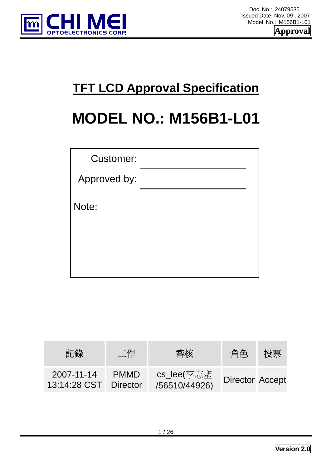

# **TFT LCD Approval Specification**

# **MODEL NO.: M156B1-L01**

| <b>Customer:</b> |  |
|------------------|--|
| Approved by:     |  |
| Note:            |  |
|                  |  |

| 記錄                                  | 工作          | 審核                          | 角色                     | 投票 |
|-------------------------------------|-------------|-----------------------------|------------------------|----|
| 2007-11-14<br>13:14:28 CST Director | <b>PMMD</b> | cs_lee(李志聖<br>/56510/44926) | <b>Director Accept</b> |    |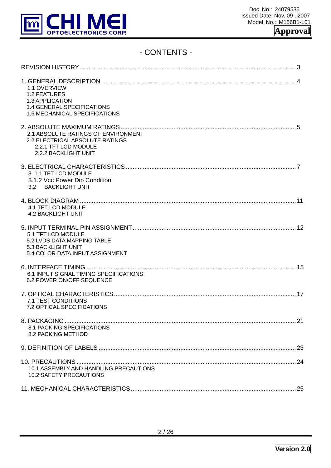

# - CONTENTS -

| 1.1 OVERVIEW<br><b>1.2 FEATURES</b><br>1.3 APPLICATION<br>1.4 GENERAL SPECIFICATIONS<br>1.5 MECHANICAL SPECIFICATIONS  |  |
|------------------------------------------------------------------------------------------------------------------------|--|
| 2.1 ABSOLUTE RATINGS OF ENVIRONMENT<br>2.2 ELECTRICAL ABSOLUTE RATINGS<br>2.2.1 TFT LCD MODULE<br>2.2.2 BACKLIGHT UNIT |  |
| 3. 1.1 TFT LCD MODULE<br>3.1.2 Vcc Power Dip Condition:<br>3.2 BACKLIGHT UNIT                                          |  |
| 4.1 TFT LCD MODULE<br><b>4.2 BACKLIGHT UNIT</b>                                                                        |  |
| 5.1 TFT LCD MODULE<br>5.2 LVDS DATA MAPPING TABLE<br>5.3 BACKLIGHT UNIT<br>5.4 COLOR DATA INPUT ASSIGNMENT             |  |
| 6.1 INPUT SIGNAL TIMING SPECIFICATIONS<br>6.2 POWER ON/OFF SEQUENCE                                                    |  |
| 7.1 TEST CONDITIONS<br>7.2 OPTICAL SPECIFICATIONS                                                                      |  |
| 8.1 PACKING SPECIFICATIONS<br>8.2 PACKING METHOD                                                                       |  |
|                                                                                                                        |  |
| 10.1 ASSEMBLY AND HANDLING PRECAUTIONS<br><b>10.2 SAFETY PRECAUTIONS</b>                                               |  |
|                                                                                                                        |  |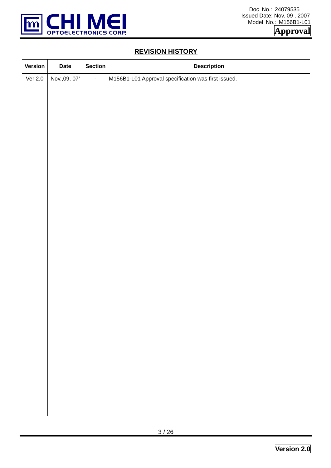

# **REVISION HISTORY**

| Version   | <b>Date</b>   | <b>Section</b> | <b>Description</b>                                  |
|-----------|---------------|----------------|-----------------------------------------------------|
| Ver $2.0$ | Nov., 09, 07' | $\blacksquare$ | M156B1-L01 Approval specification was first issued. |
|           |               |                |                                                     |
|           |               |                |                                                     |
|           |               |                |                                                     |
|           |               |                |                                                     |
|           |               |                |                                                     |
|           |               |                |                                                     |
|           |               |                |                                                     |
|           |               |                |                                                     |
|           |               |                |                                                     |
|           |               |                |                                                     |
|           |               |                |                                                     |
|           |               |                |                                                     |
|           |               |                |                                                     |
|           |               |                |                                                     |
|           |               |                |                                                     |
|           |               |                |                                                     |
|           |               |                |                                                     |
|           |               |                |                                                     |
|           |               |                |                                                     |
|           |               |                |                                                     |
|           |               |                |                                                     |
|           |               |                |                                                     |
|           |               |                |                                                     |
|           |               |                |                                                     |
|           |               |                |                                                     |
|           |               |                |                                                     |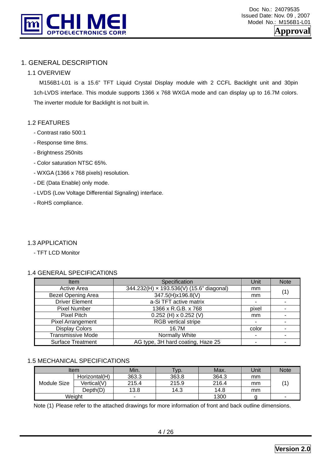

# 1. GENERAL DESCRIPTION

#### 1.1 OVERVIEW

 M156B1-L01 is a 15.6" TFT Liquid Crystal Display module with 2 CCFL Backlight unit and 30pin 1ch-LVDS interface. This module supports 1366 x 768 WXGA mode and can display up to 16.7M colors. The inverter module for Backlight is not built in.

#### 1.2 FEATURES

- Contrast ratio 500:1
- Response time 8ms.
- Brightness 250nits
- Color saturation NTSC 65%.
- WXGA (1366 x 768 pixels) resolution.
- DE (Data Enable) only mode.
- LVDS (Low Voltage Differential Signaling) interface.
- RoHS compliance.

#### 1.3 APPLICATION

- TFT LCD Monitor

#### 1.4 GENERAL SPECIFICATI0NS

| Item                      | Specification                            | Unit  | <b>Note</b>              |
|---------------------------|------------------------------------------|-------|--------------------------|
| <b>Active Area</b>        | 344.232(H) x 193.536(V) (15.6" diagonal) | mm    | (1)                      |
| <b>Bezel Opening Area</b> | 347.5(H)x196.8(V)                        | mm    |                          |
| <b>Driver Element</b>     | a-Si TFT active matrix                   |       |                          |
| <b>Pixel Number</b>       | 1366 x R.G.B. x 768                      | pixel | $\overline{\phantom{0}}$ |
| Pixel Pitch               | $0.252$ (H) x 0.252 (V)                  | mm    |                          |
| Pixel Arrangement         | <b>RGB</b> vertical stripe               |       |                          |
| <b>Display Colors</b>     | 16.7M                                    | color | $\blacksquare$           |
| <b>Transmissive Mode</b>  | Normally White                           |       |                          |
| <b>Surface Treatment</b>  | AG type, 3H hard coating, Haze 25        |       |                          |

#### 1.5 MECHANICAL SPECIFICATIONS

|             | Item          | Min.  | Typ.  | Max.  | Unit | <b>Note</b>              |
|-------------|---------------|-------|-------|-------|------|--------------------------|
|             | Horizontal(H) | 363.3 | 363.8 | 364.3 | mm   |                          |
| Module Size | Vertical(V)   | 215.4 | 215.9 | 216.4 | mm   |                          |
|             | Depth(D)      | 13.8  | 14.3  | 14.8  | mm   |                          |
|             | Weight        | -     |       | 1300  |      | $\overline{\phantom{a}}$ |

Note (1) Please refer to the attached drawings for more information of front and back outline dimensions.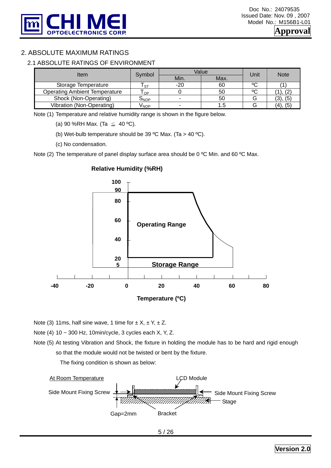

# 2. ABSOLUTE MAXIMUM RATINGS

#### 2.1 ABSOLUTE RATINGS OF ENVIRONMENT

| Item                                 | Symbol |       | Value | Unit | <b>Note</b>    |  |
|--------------------------------------|--------|-------|-------|------|----------------|--|
|                                      |        | Min.  | Max.  |      |                |  |
| Storage Temperature                  | · ST   | $-20$ | 60    | ٥C   |                |  |
| <b>Operating Ambient Temperature</b> | OP     |       | 50    | ٥C   |                |  |
| Shock (Non-Operating)                | ONOP   |       | 50    |      | (5)            |  |
| Vibration (Non-Operating)            | ∨мор   |       |       |      | (5)<br>$(4)$ . |  |

Note (1) Temperature and relative humidity range is shown in the figure below.

(a) 90 %RH Max. (Ta  $\leq$  40 °C).

(b) Wet-bulb temperature should be 39 °C Max. (Ta > 40 °C).

(c) No condensation.

Note (2) The temperature of panel display surface area should be 0 °C Min. and 60 °C Max.



#### **Relative Humidity (%RH)**

Note (3) 11ms, half sine wave, 1 time for  $\pm X$ ,  $\pm Y$ ,  $\pm Z$ .

Note (4) 10 ~ 300 Hz, 10min/cycle, 3 cycles each X, Y, Z.

Note (5) At testing Vibration and Shock, the fixture in holding the module has to be hard and rigid enough so that the module would not be twisted or bent by the fixture.

The fixing condition is shown as below:

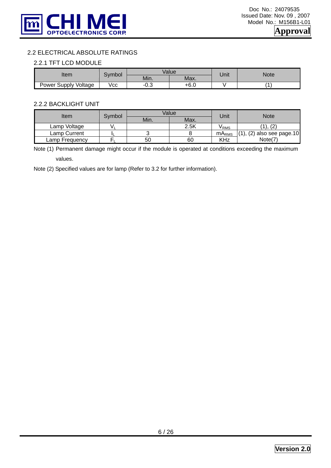

#### 2.2 ELECTRICAL ABSOLUTE RATINGS

#### 2.2.1 TFT LCD MODULE

|                      | Symbol |          | Value | Unit | <b>Note</b> |  |
|----------------------|--------|----------|-------|------|-------------|--|
| Item                 |        | Min.     | Max.  |      |             |  |
| Power Supply Voltage | Vcc    | ົ<br>∴∪- | +6.0  |      |             |  |

#### 2.2.2 BACKLIGHT UNIT

| Item           |        | Value |      | Jnit                    | Note                 |
|----------------|--------|-------|------|-------------------------|----------------------|
|                | Svmbol | Min.  | Max. |                         |                      |
| Lamp Voltage   |        |       | 2.5K | V RMS                   | (2)<br>,,            |
| Lamp Current   |        |       |      | <b>MA<sub>RMS</sub></b> | (2) also see page.10 |
| Lamp Frequency |        | 50    | 60   | KHz                     | Note(7               |

Note (1) Permanent damage might occur if the module is operated at conditions exceeding the maximum values.

Note (2) Specified values are for lamp (Refer to 3.2 for further information).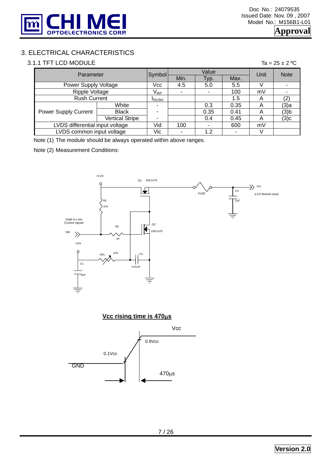

# 3. ELECTRICAL CHARACTERISTICS

#### 3.1.1 TFT LCD MODULE Ta =  $25 \pm 2$  °C

|                                 | Parameter              |                            |      | Value |      | Unit | <b>Note</b> |
|---------------------------------|------------------------|----------------------------|------|-------|------|------|-------------|
|                                 |                        | Symbol                     | Min. | Typ.  | Max. |      |             |
| Power Supply Voltage            |                        | Vcc                        | 4.5  | 5.0   | 5.5  |      |             |
| <b>Ripple Voltage</b>           |                        | $\mathsf{V}_{\mathsf{RP}}$ |      |       | 100  | mV   |             |
| <b>Rush Current</b>             |                        | <b>IRUSH</b>               |      |       | 1.5  | A    |             |
|                                 | White                  | ۰                          |      | 0.3   | 0.35 | Α    | (3)a        |
| <b>Power Supply Current</b>     | <b>Black</b>           | ٠                          |      | 0.35  | 0.41 | А    | $(3)$ b     |
|                                 | <b>Vertical Stripe</b> | ٠                          |      | 0.4   | 0.45 | A    | (3)c        |
| LVDS differential input voltage |                        | Vid                        | 100  |       | 600  | mV   |             |
| LVDS common input voltage       |                        | Vic                        |      | 1.2   |      |      |             |

Note (1) The module should be always operated within above ranges.

Note (2) Measurement Conditions:



**Vcc rising time is 470**μ**s**

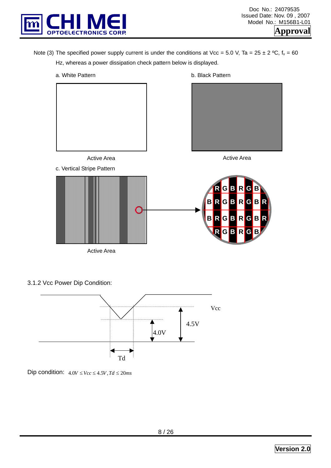

Note (3) The specified power supply current is under the conditions at Vcc = 5.0 V, Ta = 25 ± 2 °C,  $f_v$  = 60 Hz, whereas a power dissipation check pattern below is displayed.



3.1.2 Vcc Power Dip Condition:



Dip condition:  $4.0V \leq Vcc \leq 4.5V$ ,  $Td \leq 20ms$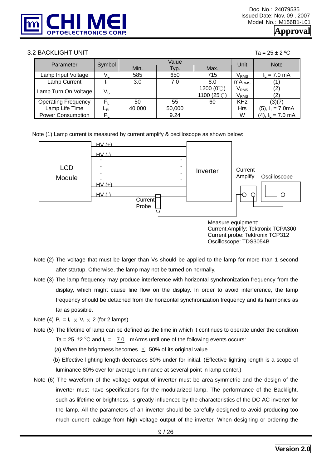

#### $3.2$  BACKLIGHT UNIT  $\overline{a} = 25 \pm 2 \degree C$

| - |  |  | ר |
|---|--|--|---|
|   |  |  |   |

| Parameter                  | Symbol      |        | Value  | Unit                | <b>Note</b>   |                        |  |
|----------------------------|-------------|--------|--------|---------------------|---------------|------------------------|--|
|                            |             | Min.   | Typ.   | Max.                |               |                        |  |
| Lamp Input Voltage         |             | 585    | 650    | 715                 | $\rm V_{RMS}$ | $I_L$ = 7.0 mA         |  |
| Lamp Current               |             | 3.0    | 7.0    | 8.0                 | $mA_{RMS}$    |                        |  |
| Lamp Turn On Voltage       | $V_{\rm S}$ |        |        | 1200 $(0^{\circ}C)$ | $\rm V_{RMS}$ | '2)                    |  |
|                            |             |        |        | 1100 (25°C)         | $\rm V_{RMS}$ | '2,                    |  |
| <b>Operating Frequency</b> | F.          | 50     | 55     | 60                  | <b>KHz</b>    | (3)(7)                 |  |
| Lamp Life Time             | டв∟         | 40,000 | 50,000 |                     | <b>Hrs</b>    | $(5)$ , $I_L = 7.0mA$  |  |
| <b>Power Consumption</b>   | $P_1$       |        | 9.24   |                     | W             | $(4)$ , $I_1 = 7.0$ mA |  |

Note (1) Lamp current is measured by current amplify & oscilloscope as shown below:



- Note (2) The voltage that must be larger than Vs should be applied to the lamp for more than 1 second after startup. Otherwise, the lamp may not be turned on normally.
- Note (3) The lamp frequency may produce interference with horizontal synchronization frequency from the display, which might cause line flow on the display. In order to avoid interference, the lamp frequency should be detached from the horizontal synchronization frequency and its harmonics as far as possible.
- Note (4)  $P_1 = I_1 \times V_1 \times 2$  (for 2 lamps)
- Note (5) The lifetime of lamp can be defined as the time in which it continues to operate under the condition Ta = 25  $\pm$ 2 °C and  $I_L$  = 7.0 mArms until one of the following events occurs:
	- (a) When the brightness becomes  $\leq 50\%$  of its original value.
	- (b) Effective lighting length decreases 80% under for initial. (Effective lighting length is a scope of luminance 80% over for average luminance at several point in lamp center.)
- Note (6) The waveform of the voltage output of inverter must be area-symmetric and the design of the inverter must have specifications for the modularized lamp. The performance of the Backlight, such as lifetime or brightness, is greatly influenced by the characteristics of the DC-AC inverter for the lamp. All the parameters of an inverter should be carefully designed to avoid producing too much current leakage from high voltage output of the inverter. When designing or ordering the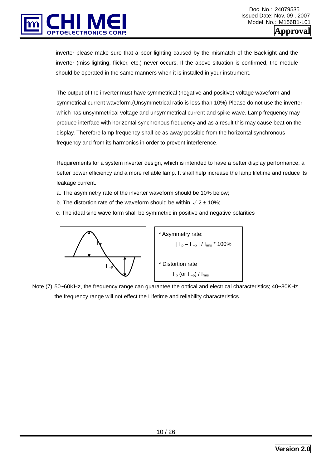

inverter please make sure that a poor lighting caused by the mismatch of the Backlight and the inverter (miss-lighting, flicker, etc.) never occurs. If the above situation is confirmed, the module should be operated in the same manners when it is installed in your instrument.

The output of the inverter must have symmetrical (negative and positive) voltage waveform and symmetrical current waveform.(Unsymmetrical ratio is less than 10%) Please do not use the inverter which has unsymmetrical voltage and unsymmetrical current and spike wave. Lamp frequency may produce interface with horizontal synchronous frequency and as a result this may cause beat on the display. Therefore lamp frequency shall be as away possible from the horizontal synchronous frequency and from its harmonics in order to prevent interference.

Requirements for a system inverter design, which is intended to have a better display performance, a better power efficiency and a more reliable lamp. It shall help increase the lamp lifetime and reduce its leakage current.

- a. The asymmetry rate of the inverter waveform should be 10% below;
- b. The distortion rate of the waveform should be within  $\sqrt{2} \pm 10\%$ ;
- c. The ideal sine wave form shall be symmetric in positive and negative polarities



\* Asymmetry rate:

\n
$$
|I_{p} - I_{-p}| / I_{rms} \times 100\%
$$
\n\* Distortion rate

\n
$$
I_{p} \text{ (or } I_{-p}) / I_{rms}
$$

Note (7) 50~60KHz, the frequency range can guarantee the optical and electrical characteristics; 40~80KHz the frequency range will not effect the Lifetime and reliability characteristics.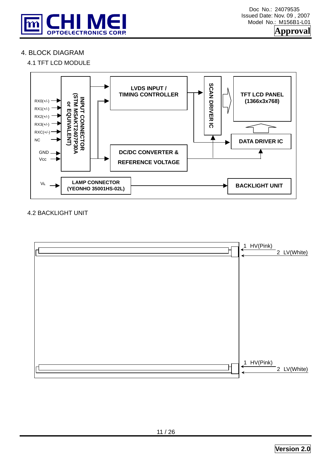

# 4. BLOCK DIAGRAM

#### 4.1 TFT LCD MODULE



#### 4.2 BACKLIGHT UNIT

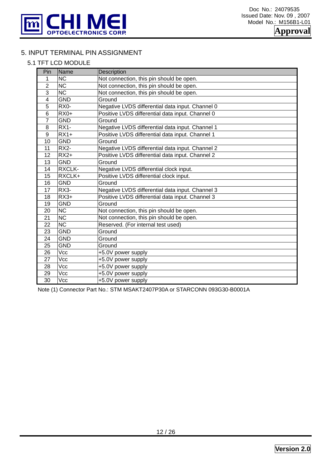

# 5. INPUT TERMINAL PIN ASSIGNMENT

#### 5.1 TFT LCD MODULE

| Pin                     | Name                   | Description                                      |
|-------------------------|------------------------|--------------------------------------------------|
| 1                       | <b>NC</b>              | Not connection, this pin should be open.         |
| $\overline{2}$          | <b>NC</b>              | Not connection, this pin should be open.         |
| $\overline{3}$          | $\overline{\text{NC}}$ | Not connection, this pin should be open.         |
| $\overline{\mathbf{4}}$ | <b>GND</b>             | Ground                                           |
| 5                       | RX0-                   | Negative LVDS differential data input. Channel 0 |
| 6                       | $RX0+$                 | Positive LVDS differential data input. Channel 0 |
| $\overline{7}$          | <b>GND</b>             | Ground                                           |
| 8                       | <b>RX1-</b>            | Negative LVDS differential data input. Channel 1 |
| 9                       | $RX1+$                 | Positive LVDS differential data input. Channel 1 |
| 10                      | <b>GND</b>             | Ground                                           |
| 11                      | <b>RX2-</b>            | Negative LVDS differential data input. Channel 2 |
| 12                      | $RX2+$                 | Positive LVDS differential data input. Channel 2 |
| 13                      | <b>GND</b>             | Ground                                           |
| 14                      | <b>RXCLK-</b>          | Negative LVDS differential clock input.          |
| 15                      | RXCLK+                 | Positive LVDS differential clock input.          |
| 16                      | <b>GND</b>             | Ground                                           |
| 17                      | RX3-                   | Negative LVDS differential data input. Channel 3 |
| 18                      | $RX3+$                 | Positive LVDS differential data input. Channel 3 |
| 19                      | <b>GND</b>             | Ground                                           |
| 20                      | NC                     | Not connection, this pin should be open.         |
| 21                      | <b>NC</b>              | Not connection, this pin should be open.         |
| 22                      | NC                     | Reserved. (For internal test used)               |
| 23                      | <b>GND</b>             | Ground                                           |
| 24                      | <b>GND</b>             | Ground                                           |
| 25                      | <b>GND</b>             | Ground                                           |
| $\overline{26}$         | Vcc                    | +5.0V power supply                               |
| 27                      | Vcc                    | +5.0V power supply                               |
| 28                      | Vcc                    | +5.0V power supply                               |
| 29                      | Vcc                    | +5.0V power supply                               |
| 30                      | Vcc                    | +5.0V power supply                               |

Note (1) Connector Part No.: STM MSAKT2407P30A or STARCONN 093G30-B0001A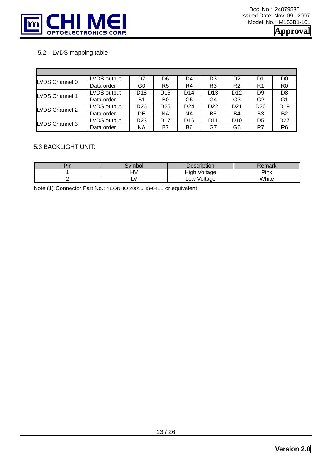

# 5.2 LVDS mapping table

| LVDS Channel 0 | LVDS output | D7              | D6              | D4              | D3              | D <sub>2</sub>  | D1              | D0              |
|----------------|-------------|-----------------|-----------------|-----------------|-----------------|-----------------|-----------------|-----------------|
|                | lData order | G0              | R5              | R4              | R <sub>3</sub>  | R <sub>2</sub>  | R <sub>1</sub>  | R0              |
| LVDS Channel 1 | LVDS output | D <sub>18</sub> | D <sub>15</sub> | D <sub>14</sub> | D <sub>13</sub> | D <sub>12</sub> | D <sub>9</sub>  | D8              |
|                | lData order | B1              | B0              | G5              | G4              | G3              | G <sub>2</sub>  | G1              |
| LVDS Channel 2 | LVDS output | D <sub>26</sub> | D <sub>25</sub> | D <sub>24</sub> | D <sub>22</sub> | D <sub>21</sub> | D <sub>20</sub> | D <sub>19</sub> |
|                | Data order  | DE              | ΝA              | ΝA              | B <sub>5</sub>  | B4              | B <sub>3</sub>  | <b>B2</b>       |
| LVDS Channel 3 | LVDS output | D <sub>23</sub> | D <sub>17</sub> | D <sub>16</sub> | D <sub>11</sub> | D <sub>10</sub> | D <sub>5</sub>  | D <sub>27</sub> |
|                | Data order  | <b>NA</b>       | B7              | B6              | G7              | G6              | R7              | R6              |

#### 5.3 BACKLIGHT UNIT:

| $-1$<br>J 1 1 | vmbol   | Description     | ∖emark       |
|---------------|---------|-----------------|--------------|
|               | <br>. . | High<br>Voltage | Pink         |
|               | - 1     | Voltage<br>∟0W  | <b>White</b> |

Note (1) Connector Part No.: YEONHO 20015HS-04LB or equivalent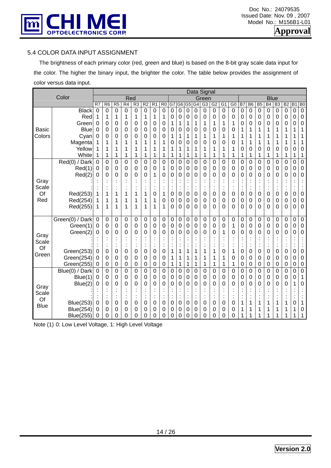

#### 5.4 COLOR DATA INPUT ASSIGNMENT

 The brightness of each primary color (red, green and blue) is based on the 8-bit gray scale data input for the color. The higher the binary input, the brighter the color. The table below provides the assignment of color versus data input.

|               |                  |             |             |                |                 |                |                |                  |                |    |                |                |                | Data Signal    |             |                  |                |                      |                |                  |                      |                |                |                 |                  |
|---------------|------------------|-------------|-------------|----------------|-----------------|----------------|----------------|------------------|----------------|----|----------------|----------------|----------------|----------------|-------------|------------------|----------------|----------------------|----------------|------------------|----------------------|----------------|----------------|-----------------|------------------|
|               | Color            |             |             |                | Red             |                |                |                  |                |    |                |                |                | Green          |             |                  |                |                      |                |                  | <b>Blue</b>          |                |                |                 |                  |
|               |                  | R7          | R6          | R <sub>5</sub> | $\overline{R4}$ | R3             | R <sub>2</sub> | R <sub>1</sub>   | R <sub>0</sub> | G7 | G <sub>6</sub> | G <sub>5</sub> | G4             | G <sub>3</sub> | G2          | G <sub>1</sub>   | G <sub>0</sub> | B <sub>7</sub>       | B <sub>6</sub> | B <sub>5</sub>   | B <sub>4</sub>       | B <sub>3</sub> | B <sub>2</sub> | $\overline{B1}$ | B <sub>0</sub>   |
|               | <b>Black</b>     | $\mathbf 0$ | 0           | 0              | 0               | 0              | 0              | 0                | 0              | 0  | 0              | 0              | 0              | 0              | 0           | $\boldsymbol{0}$ | 0              | 0                    | $\mathbf 0$    | $\boldsymbol{0}$ | 0                    | $\mathbf 0$    | $\mathbf 0$    | $\mathbf 0$     | $\mathbf 0$      |
|               | Red              | 1           | 1           | 1              | 1               | 1              | 1              | 1                | 1              | 0  | 0              | 0              | 0              | 0              | 0           | 0                | 0              | 0                    | 0              | $\mathbf 0$      | 0                    | 0              | 0              | 0               | $\boldsymbol{0}$ |
|               | Green            | 0           | 0           | 0              | 0               | 0              | 0              | 0                | 0              | 1  | 1              | 1              | 1              | 1              | 1           | 1                | 1              | 0                    | 0              | 0                | 0                    | 0              | 0              | 0               | 0                |
| Basic         | <b>Blue</b>      | 0           | 0           | 0              | 0               | 0              | 0              | 0                | 0              | 0  | 0              | 0              | 0              | 0              | 0           | 0                | 0              | 1                    | 1              | 1                | 1                    | 1              | 1              | 1               | 1                |
| Colors        | Cyan             | 0           | 0           | 0              | 0               | 0              | 0              | 0                | 0              | 1  | 1              | 1              | 1              | 1              | 1           | 1                | 1              | 1                    | 1              | 1                | 1                    | 1              | 1              | 1               | 1                |
|               | Magenta          | 1           | 1           | 1              | 1               | 1              | 1              | 1                | 1              | 0  | 0              | 0              | 0              | 0              | 0           | 0                | 0              | 1                    | 1              | 1                | 1                    | 1              | 1              | 1               | 1                |
|               | Yellow           | 1           | 1           | 1              | 1               | 1              | 1              | 1                | 1              | 1  | 1              | 1              | 1              | 1              | 1           | 1                | 1              | 0                    | 0              | 0                | 0                    | 0              | 0              | 0               | 0                |
|               | White            | 1           | 1           | 1              | 1               | 1              | 1              | 1                | 1              | 1  | 1              | 1              | 1              | 1              | 1           | 1                | 1              | 1                    | 1              | 1                | 1                    | 1              | 1              | 1               | $\mathbf{1}$     |
|               | Red(0) / Dark    | $\mathbf 0$ | 0           | $\mathbf 0$    | 0               | 0              | 0              | $\mathbf 0$      | 0              | 0  | $\mathbf 0$    | 0              | $\overline{0}$ | 0              | 0           | 0                | 0              | 0                    | $\mathbf 0$    | 0                | 0                    | $\mathbf 0$    | $\mathbf 0$    | 0               | $\overline{0}$   |
|               | Red(1)           | 0           | 0           | 0              | 0               | 0              | 0              | 0                | 1              | 0  | 0              | 0              | 0              | 0              | 0           | 0                | 0              | 0                    | 0              | 0                | 0                    | 0              | 0              | 0               | $\boldsymbol{0}$ |
|               | Red(2)           | 0           | 0           | 0              | 0               | 0              | 0              | 1                | 0              | 0  | 0              | 0              | 0              | 0              | 0           | 0                | 0              | 0                    | 0              | 0                | 0                    | 0              | 0              | 0               | 0                |
| Gray          |                  |             |             |                |                 | $\blacksquare$ |                | ×                |                |    |                | $\bullet$      |                |                |             |                  |                |                      |                |                  | ٠                    |                |                |                 | ÷                |
| Scale         |                  |             |             |                |                 |                | ä,             | Ì                |                |    |                | t              | ÷              | ٠              | ÷           | $\blacksquare$   | ٠              | $\blacksquare$       | $\vdots$       |                  | $\ddot{\phantom{a}}$ | $\blacksquare$ | $\blacksquare$ | $\bullet$       |                  |
| Of            | Red(253)         |             | 1           | 1              | 1               | 1              | 1              | 0                | 1              | 0  | 0              | 0              | 0              | 0              | 0           | 0                | 0              | 0                    | $\mathbf 0$    | $\boldsymbol{0}$ | 0                    | $\mathbf 0$    | 0              | 0               | 0                |
| Red           | Red(254)         | 1           | 1           | 1              | 1               | 1              | 1              | 1                | 0              | 0  | 0              | 0              | 0              | 0              | 0           | $\boldsymbol{0}$ | 0              | 0                    | 0              | $\boldsymbol{0}$ | 0                    | 0              | 0              | 0               | $\boldsymbol{0}$ |
|               | Red(255)         | 1           | 1           | 1              | 1               | 1              | 1              | 1                | 1              | 0  | 0              | 0              | 0              | 0              | 0           | 0                | 0              | 0                    | 0              | 0                | 0                    | 0              | 0              | 0               | $\mathbf 0$      |
|               | Green(0) / Dark  | 0           | $\mathbf 0$ | 0              | 0               | 0              | 0              | 0                | 0              | 0  | 0              | 0              | 0              | 0              | 0           | 0                | 0              | 0                    | $\mathbf 0$    | $\boldsymbol{0}$ | 0                    | $\mathbf 0$    | 0              | 0               | $\overline{0}$   |
|               | Green(1)         | 0           | 0           | 0              | 0               | 0              | 0              | 0                | 0              | 0  | 0              | 0              | 0              | 0              | 0           | 0                | 1              | 0                    | 0              | $\mathbf 0$      | 0                    | $\mathbf 0$    | 0              | 0               | $\pmb{0}$        |
|               | Green(2)         | 0           | 0           | 0              | 0               | 0              | 0              | 0                | 0              | 0  | 0              | 0              | 0              | 0              | 0           | 1                | 0              | 0                    | 0              | 0                | 0                    | 0              | 0              | 0               | 0                |
| Gray          |                  |             |             |                |                 |                |                |                  |                |    |                |                |                |                |             |                  |                |                      |                |                  |                      |                |                |                 |                  |
| Scale         |                  |             |             |                | t               | $\vdots$       | Ì              | Ì                |                |    |                | t              | İ              |                |             | ٠                | ä,             | $\ddot{\phantom{a}}$ | $\ddot{\cdot}$ |                  | $\ddot{\phantom{a}}$ | t              |                | ÷               | ÷                |
| Of            | Green(253)       | 0           | 0           | 0              | 0               | 0              | 0              | 0                | 0              | 1  | 1              | 1              | 1              | 1              | 1           | 0                | 1              | 0                    | 0              | 0                | 0                    | 0              | 0              | 0               | $\boldsymbol{0}$ |
| Green         | Green(254)       | 0           | 0           | 0              | 0               | 0              | 0              | 0                | $\mathbf 0$    | 1  | 1              | 1              | 1              | 1              | 1           | 1                | 0              | 0                    | 0              | 0                | 0                    | 0              | 0              | 0               | 0                |
|               | Green(255)       | 0           | 0           | 0              | 0               | 0              | 0              | 0                | 0              | 1  | 1              | $\mathbf 1$    | 1              | 1              | 1           | 1                | 1              | 0                    | 0              | 0                | 0                    | 0              | 0              | 0               | 0                |
|               | Blue(0) / Dark   | 0           | 0           | 0              | 0               | 0              | 0              | 0                | 0              | 0  | 0              | 0              | $\mathbf 0$    | 0              | $\mathbf 0$ | 0                | 0              | 0                    | 0              | 0                | 0                    | 0              | 0              | 0               | $\overline{0}$   |
|               | Blue(1)          | 0           | 0           | 0              | 0               | 0              | 0              | $\boldsymbol{0}$ | 0              | 0  | 0              | 0              | 0              | 0              | 0           | 0                | 0              | 0                    | 0              | $\mathbf 0$      | 0                    | 0              | 0              | 0               | $\mathbf 1$      |
|               | Blue(2)          | 0           | 0           | 0              | 0               | 0              | 0              | 0                | 0              | 0  | 0              | 0              | 0              | 0              | 0           | 0                | 0              | 0                    | 0              | 0                | 0                    | 0              | 0              | 1               | 0                |
| Gray<br>Scale |                  |             |             |                |                 | ä,             |                |                  |                |    |                |                |                |                |             |                  |                |                      |                |                  |                      |                |                |                 |                  |
| Of            |                  |             |             |                |                 | $\ddot{\cdot}$ |                | t                |                |    |                | t              | $\cdot$        |                |             | $\bullet$<br>ä,  |                | ٠                    | ×              |                  | $\ddot{\cdot}$       |                |                | $\bullet$       |                  |
| <b>Blue</b>   | <b>Blue(253)</b> | 0           | 0           | 0              | 0               | 0              | 0              | 0                | 0              | 0  | 0              | 0              | 0              | 0              | 0           | 0                | 0              | 1                    | 1              | 1                | 1                    | 1              | 1              | 0               | 1                |
|               | <b>Blue(254)</b> | 0           | 0           | 0              | 0               | 0              | 0              | 0                | 0              | 0  | 0              | 0              | 0              | 0              | 0           | 0                | 0              | 1                    | 1              | 1                | 1                    | 1              | 1              | 1               | 0                |
|               | <b>Blue(255)</b> | 0           | 0           | 0              | 0               | 0              | 0              | 0                | 0              | 0  | 0              | 0              | 0              | 0              | 0           | 0                | 0              | 1                    |                | 1                | 1                    | 1              | 1              |                 | 1                |

Note (1) 0: Low Level Voltage, 1: High Level Voltage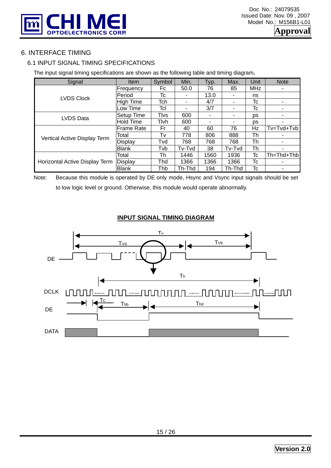

# 6. INTERFACE TIMING

# 6.1 INPUT SIGNAL TIMING SPECIFICATIONS

The input signal timing specifications are shown as the following table and timing diagram**.** 

| Signal                         | Item              | Symbol       | Min.   | Typ. | Max.   | Unit       | <b>Note</b> |
|--------------------------------|-------------------|--------------|--------|------|--------|------------|-------------|
|                                | Frequency         | Fc           | 50.0   | 76   | 85     | <b>MHz</b> |             |
| <b>LVDS Clock</b>              | Period            | Tc           |        | 13.0 |        | ns         |             |
|                                | <b>High Time</b>  | Tch          | -      | 4/7  | ۰      | Tc         |             |
|                                | _ow Time          | Tcl          |        | 3/7  | ۰      | Тc         |             |
| LVDS Data                      | Setup Time        | <b>T</b> lvs | 600    |      |        | ps         |             |
|                                | <b>Hold Time</b>  | Tlvh         | 600    | ۰    |        | ps         |             |
|                                | <b>Frame Rate</b> | Fr           | 40     | 60   | 76     | Hz         | Tv=Tvd+Tvb  |
| Vertical Active Display Term   | Total             | Tv           | 778    | 806  | 888    | Th         |             |
|                                | Display           | Tvd          | 768    | 768  | 768    | Th         |             |
|                                | <b>Blank</b>      | Tvb          | Tv-Tvd | 38   | Tv-Tvd | Th         |             |
|                                | Total             | Th           | 1446   | 1560 | 1936   | Tc         | Th=Thd+Thbl |
| Horizontal Active Display Term | Display           | Thd          | 1366   | 1366 | 1366   | Tc         |             |
|                                | <b>Blank</b>      | Thb          | Th-Thd | 194  | Th-Thd | Tc         |             |

Note: Because this module is operated by DE only mode, Hsync and Vsync input signals should be set to low logic level or ground. Otherwise, this module would operate abnormally.

#### **INPUT SIGNAL TIMING DIAGRAM**

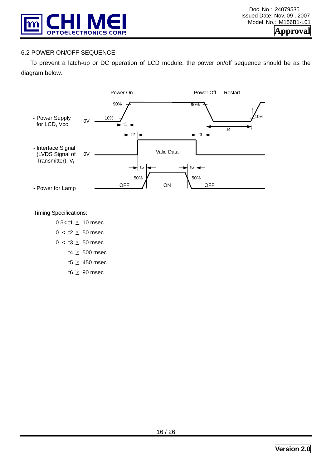

# 6.2 POWER ON/OFF SEQUENCE

 To prevent a latch-up or DC operation of LCD module, the power on/off sequence should be as the diagram below.



Timing Specifications:

0.5< $t1 \le 10$  msec  $0 < t2 \leq 50$  msec  $0 < 13 \leq 50$  msec

- t4  $\geq$  500 msec
- t5  $\geq$  450 msec
- t6  $\geq$  90 msec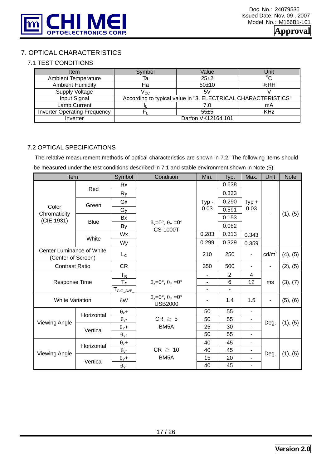

# 7. OPTICAL CHARACTERISTICS

#### 7.1 TEST CONDITIONS

| Item                                | Symbol             | Value                                                         | Unit              |  |  |  |
|-------------------------------------|--------------------|---------------------------------------------------------------|-------------------|--|--|--|
| <b>Ambient Temperature</b>          | Та                 | $25 + 2$                                                      | $^{\circ}{\rm C}$ |  |  |  |
| <b>Ambient Humidity</b>             | На                 | $50 + 10$                                                     | %RH               |  |  |  |
| Supply Voltage                      | $\rm V_{CC}$       | 5V                                                            |                   |  |  |  |
| Input Signal                        |                    | According to typical value in "3. ELECTRICAL CHARACTERISTICS" |                   |  |  |  |
| Lamp Current                        |                    | 7.0                                                           | mA                |  |  |  |
| <b>Inverter Operating Frequency</b> |                    | $55+5$                                                        | <b>KHz</b>        |  |  |  |
| Inverter                            | Darfon VK12164.101 |                                                               |                   |  |  |  |

#### 7.2 OPTICAL SPECIFICATIONS

The relative measurement methods of optical characteristics are shown in 7.2. The following items should be measured under the test conditions described in 7.1 and stable environment shown in Note (5).

| Item                                            |             | Symbol                  | Condition                                                      | Min.                         | Typ.           | Max.                     | Unit            | <b>Note</b> |  |
|-------------------------------------------------|-------------|-------------------------|----------------------------------------------------------------|------------------------------|----------------|--------------------------|-----------------|-------------|--|
|                                                 | Red         | Rx                      |                                                                |                              | 0.638          |                          |                 |             |  |
|                                                 |             | <b>Ry</b>               |                                                                |                              | 0.333          |                          |                 |             |  |
|                                                 | Green       | Gx                      |                                                                | $Type -$<br>0.03             | 0.290          | $Typ +$                  |                 |             |  |
| Color<br>Chromaticity<br>(CIE 1931)             |             | Gy                      |                                                                |                              | 0.591          | 0.03                     |                 |             |  |
|                                                 |             | <b>Bx</b>               |                                                                |                              | 0.153          |                          |                 | (1), (5)    |  |
|                                                 | <b>Blue</b> | By                      | $\theta_x = 0^\circ$ , $\theta_y = 0^\circ$<br><b>CS-1000T</b> |                              | 0.082          |                          |                 |             |  |
|                                                 |             | Wx                      |                                                                | 0.283                        | 0.313          | 0.343                    |                 |             |  |
|                                                 | White       | Wy                      |                                                                | 0.299                        | 0.329          | 0.359                    |                 |             |  |
| Center Luminance of White<br>(Center of Screen) |             | $L_{\rm C}$             |                                                                | 210                          | 250            |                          | $\text{cd/m}^2$ | (4), (5)    |  |
| <b>Contrast Ratio</b>                           |             | <b>CR</b>               |                                                                | 350                          | 500            |                          | $\blacksquare$  | (2), (5)    |  |
|                                                 |             | $T_R$                   |                                                                | $\overline{\phantom{a}}$     | $\overline{2}$ | 4                        |                 |             |  |
| Response Time                                   |             | $T_{\rm F}$             | $\theta_x = 0^\circ$ , $\theta_y = 0^\circ$                    | $\overline{\phantom{a}}$     | 6              | 12                       | ms              | (3), (7)    |  |
|                                                 |             | T <sub>GtG_AVE</sub>    |                                                                | $\qquad \qquad \blacksquare$ |                |                          |                 |             |  |
| <b>White Variation</b>                          |             | $\delta W$              | $\theta_x = 0^\circ$ , $\theta_y = 0^\circ$<br><b>USB2000</b>  | ۰                            | 1.4            | 1.5                      | ٠               | (5), (6)    |  |
|                                                 | Horizontal  | $\theta_x +$            |                                                                | 50                           | 55             | $\overline{\phantom{a}}$ |                 |             |  |
|                                                 |             | $\theta_{x}$ -          | $CR \geq 5$                                                    | 50                           | 55             |                          |                 |             |  |
| <b>Viewing Angle</b>                            | Vertical    | $\theta$ <sub>Y</sub> + | BM <sub>5</sub> A                                              | 25                           | 30             |                          | Deg.            | (1), (5)    |  |
|                                                 |             | $\theta$ <sub>Y</sub> - |                                                                | 50                           | 55             | -                        |                 |             |  |
|                                                 | Horizontal  | $\theta_{x}$ +          |                                                                | 40                           | 45             | ۰.                       |                 |             |  |
| <b>Viewing Angle</b>                            |             | $\theta_{x}$ -          | $CR \geq 10$                                                   | 45<br>40                     |                | Deg.                     |                 |             |  |
|                                                 | Vertical    | $\theta$ <sub>Y</sub> + | BM <sub>5</sub> A                                              | 15                           | 20             |                          |                 | (1), (5)    |  |
|                                                 |             | $\theta$ <sub>Y</sub> - |                                                                | 40                           | 45             |                          |                 |             |  |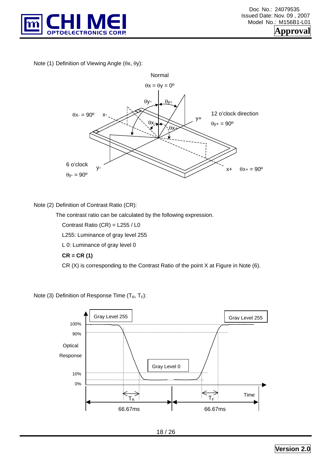

Note (1) Definition of Viewing Angle (θx, θy):



#### Note (2) Definition of Contrast Ratio (CR):

The contrast ratio can be calculated by the following expression.

Contrast Ratio (CR) = L255 / L0

L255: Luminance of gray level 255

L 0: Luminance of gray level 0

#### **CR = CR (1)**

CR (X) is corresponding to the Contrast Ratio of the point X at Figure in Note (6).

Note (3) Definition of Response Time  $(T_R, T_F)$ :

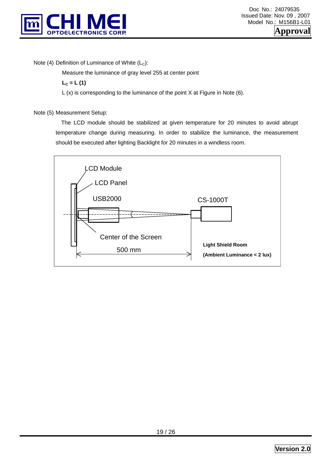

Note (4) Definition of Luminance of White  $(L<sub>C</sub>)$ :

Measure the luminance of gray level 255 at center point

 $L_c = L(1)$ 

L (x) is corresponding to the luminance of the point X at Figure in Note (6).

Note (5) Measurement Setup:

 The LCD module should be stabilized at given temperature for 20 minutes to avoid abrupt temperature change during measuring. In order to stabilize the luminance, the measurement should be executed after lighting Backlight for 20 minutes in a windless room.

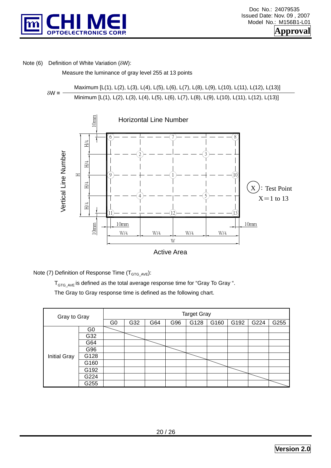

#### Note (6) Definition of White Variation (δW):

Measure the luminance of gray level 255 at 13 points

δW **=** Maximum [L(1), L(2), L(3), L(4), L(5), L(6), L(7), L(8), L(9), L(10), L(11), L(12), L(13)] Minimum [L(1), L(2), L(3), L(4), L(5), L(6), L(7), L(8), L(9), L(10), L(11), L(12), L(13)]



Note (7) Definition of Response Time  $(T_{GTG\_AVE})$ :

 $T_{GTG, AVF}$  is defined as the total average response time for "Gray To Gray ".

The Gray to Gray response time is defined as the following chart.

| Gray to Gray        | <b>Target Gray</b> |                |     |     |     |      |      |      |      |      |  |  |
|---------------------|--------------------|----------------|-----|-----|-----|------|------|------|------|------|--|--|
|                     |                    | G <sub>0</sub> | G32 | G64 | G96 | G128 | G160 | G192 | G224 | G255 |  |  |
|                     | G <sub>0</sub>     |                |     |     |     |      |      |      |      |      |  |  |
|                     | G32                |                |     |     |     |      |      |      |      |      |  |  |
|                     | G64                |                |     |     |     |      |      |      |      |      |  |  |
|                     | G96                |                |     |     |     |      |      |      |      |      |  |  |
| <b>Initial Gray</b> | G128               |                |     |     |     |      |      |      |      |      |  |  |
|                     | G160               |                |     |     |     |      |      |      |      |      |  |  |
|                     | G192               |                |     |     |     |      |      |      |      |      |  |  |
|                     | G224               |                |     |     |     |      |      |      |      |      |  |  |
|                     | G255               |                |     |     |     |      |      |      |      |      |  |  |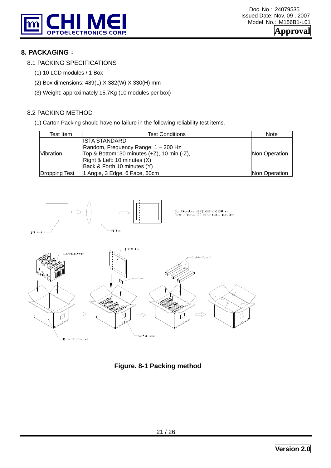

# **8. PACKAGING**:

- 8.1 PACKING SPECIFICATIONS
	- (1) 10 LCD modules / 1 Box
	- (2) Box dimensions: 489(L) X 382(W) X 330(H) mm
	- (3) Weight: approximately 15.7Kg (10 modules per box)

# 8.2 PACKING METHOD

(1) Carton Packing should have no failure in the following reliability test items.

| Test Item        | <b>Test Conditions</b>                      | <b>Note</b>          |
|------------------|---------------------------------------------|----------------------|
|                  | IISTA STANDARD                              |                      |
|                  | Random, Frequency Range: 1 - 200 Hz         |                      |
| <b>Vibration</b> | Top & Bottom: 30 minutes (+Z), 10 min (-Z), | Non Operation        |
|                  | Right & Left: 10 minutes (X)                |                      |
|                  | Back & Forth 10 minutes (Y)                 |                      |
| Dropping Test    | 1 Angle, 3 Edge, 6 Face, 60cm               | <b>Non Operation</b> |



**Figure. 8-1 Packing method**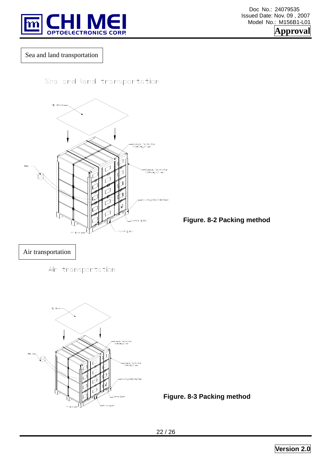

 Doc No.: 24079535 Issued Date: Nov. 09 , 2007 Model No.: M156B1-L01 **Approval** 

Sea and land transportation

Sea and land transportation



**Figure. 8-2 Packing method** 

Air transportation

Air transportation



**Figure. 8-3 Packing method**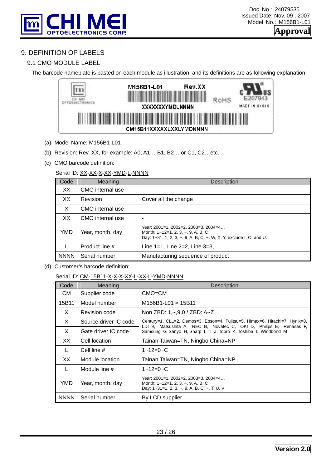

# 9. DEFINITION OF LABELS

#### 9.1 CMO MODULE LABEL

The barcode nameplate is pasted on each module as illustration, and its definitions are as following explanation.



- (a) Model Name: M156B1-L01
- (b) Revision: Rev. XX, for example: A0, A1… B1, B2… or C1, C2…etc.
- (c) CMO barcode definition:

#### Serial ID: XX-XX-X-XX-YMD-L-NNNN

| Code        | Meaning          | Description                                                                                                                                                   |
|-------------|------------------|---------------------------------------------------------------------------------------------------------------------------------------------------------------|
| XX          | CMO internal use |                                                                                                                                                               |
| XX.         | Revision         | Cover all the change                                                                                                                                          |
| X           | CMO internal use |                                                                                                                                                               |
| XX          | CMO internal use | $\overline{\phantom{0}}$                                                                                                                                      |
| YMD.        | Year, month, day | Year: 2001=1, 2002=2, 2003=3, 2004=4<br>Month: $1 - 12 = 1$ , 2, 3, $\sim$ , 9, A, B, C<br>Day: 1~31=1, 2, 3, ~, 9, A, B, C, ~, W, X, Y, exclude I, O, and U. |
|             | Product line #   | Line $1=1$ , Line $2=2$ , Line $3=3, $                                                                                                                        |
| <b>NNNN</b> | Serial number    | Manufacturing sequence of product                                                                                                                             |

(d) Customer's barcode definition:

#### Serial ID: CM-15B11-X-X-X-X-XX-L-XX-L-YMD-NNNN

| Code        | Meaning               | <b>Description</b>                                                                                                                                 |  |  |  |  |  |  |  |
|-------------|-----------------------|----------------------------------------------------------------------------------------------------------------------------------------------------|--|--|--|--|--|--|--|
| CM.         | Supplier code         | $CMO=CM$                                                                                                                                           |  |  |  |  |  |  |  |
| 15B11       | Model number          | $M156B1-L01 = 15B11$                                                                                                                               |  |  |  |  |  |  |  |
| X           | Revision code         | Non ZBD: $1, -0.9, 0 / ZBD$ : A $Z$                                                                                                                |  |  |  |  |  |  |  |
| X           | Source driver IC code | Century=1, CLL=2, Demos=3, Epson=4, Fujitsu=5, Himax=6, Hitachi=7, Hynix=8,<br>LDI=9, Matsushita=A, NEC=B, Novatec=C, OKI=D, Philips=E, Renasas=F, |  |  |  |  |  |  |  |
| X           | Gate driver IC code   | Samsung=G, Sanyo=H, Sharp=I, TI=J, Topro=K, Toshiba=L, Windbond=M                                                                                  |  |  |  |  |  |  |  |
| XX.         | Cell location         | Tainan Taiwan=TN, Ningbo China=NP                                                                                                                  |  |  |  |  |  |  |  |
| L           | Cell line #           | $1 - 12 = 0 - C$                                                                                                                                   |  |  |  |  |  |  |  |
| XX.         | Module location       | Tainan Taiwan=TN, Ningbo China=NP                                                                                                                  |  |  |  |  |  |  |  |
| L           | Module line #         | $1 - 12 = 0 - C$                                                                                                                                   |  |  |  |  |  |  |  |
| YMD         | Year, month, day      | Year: 2001=1, 2002=2, 2003=3, 2004=4<br>Month: $1 - 12 = 1, 2, 3, -, 9, A, B, C$<br>Day: $1-31=1$ , 2, 3, $\sim$ , 9, A, B, C, $\sim$ , T, U, V    |  |  |  |  |  |  |  |
| <b>NNNN</b> | Serial number         | By LCD supplier                                                                                                                                    |  |  |  |  |  |  |  |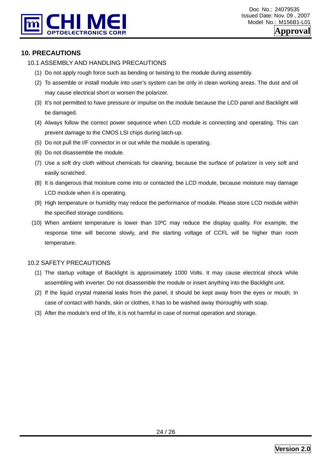

# **10. PRECAUTIONS**

#### 10.1 ASSEMBLY AND HANDLING PRECAUTIONS

- (1) Do not apply rough force such as bending or twisting to the module during assembly.
- (2) To assemble or install module into user's system can be only in clean working areas. The dust and oil may cause electrical short or worsen the polarizer.
- (3) It's not permitted to have pressure or impulse on the module because the LCD panel and Backlight will be damaged.
- (4) Always follow the correct power sequence when LCD module is connecting and operating. This can prevent damage to the CMOS LSI chips during latch-up.
- (5) Do not pull the I/F connector in or out while the module is operating.
- (6) Do not disassemble the module.
- (7) Use a soft dry cloth without chemicals for cleaning, because the surface of polarizer is very soft and easily scratched.
- (8) It is dangerous that moisture come into or contacted the LCD module, because moisture may damage LCD module when it is operating.
- (9) High temperature or humidity may reduce the performance of module. Please store LCD module within the specified storage conditions.
- (10) When ambient temperature is lower than 10ºC may reduce the display quality. For example, the response time will become slowly, and the starting voltage of CCFL will be higher than room temperature.

#### 10.2 SAFETY PRECAUTIONS

- (1) The startup voltage of Backlight is approximately 1000 Volts. It may cause electrical shock while assembling with inverter. Do not disassemble the module or insert anything into the Backlight unit.
- (2) If the liquid crystal material leaks from the panel, it should be kept away from the eyes or mouth. In case of contact with hands, skin or clothes, it has to be washed away thoroughly with soap.
- (3) After the module's end of life, it is not harmful in case of normal operation and storage.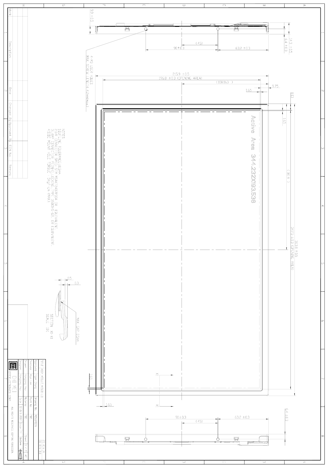